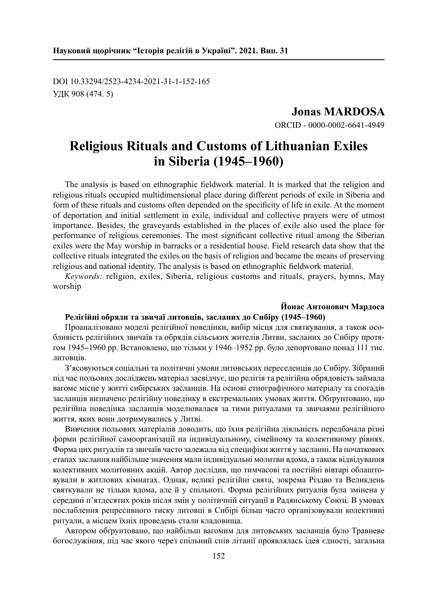DOI 10.33294/2523-4234-2021-31-1-152-165 УДК 908 (474. 5)

> **Jonas MARDOSA** ORCID - 0000-0002-6641-4949

# **Religious Rituals and Customs of Lithuanian Exiles in Siberia (1945–1960)**

The analysis is based on ethnographic fieldwork material. It is marked that the religion and religious rituals occupied multidimensional place during different periods of exile in Siberia and form of these rituals and customs often depended on the specificity of life in exile. At the moment of deportation and initial settlement in exile, individual and collective prayers were of utmost importance. Besides, the graveyards established in the places of exile also used the place for performance of religious ceremonies. The most significant collective ritual among the Siberian exiles were the May worship in barracks or a residential house. Field research data show that the collective rituals integrated the exiles on the basis of religion and became the means of preserving religious and national identity. The analysis is based on ethnographic fieldwork material.

*Keywords:* religion, exiles, Siberia, religious customs and rituals, prayers, hymns, May worship

#### **Йонас Антонович Мардоса Релігійні обряди та звичаї литовців, засланих до Сибіру (1945–1960)**

Проаналізовано моделі релігійної поведінки, вибір місця для святкування, а також особливість релігійних звичаїв та обрядів сільських жителів Литви, засланих до Сибіру протягом 1945**–**1960 рр. Встановлено, що тільки у 1946–1952 рр. було депортовано понад 111 тис. литовців.

З'ясовуються соціальні та політичні умови литовських переселенців до Сибіру. Зібраний під час польових досліджень матеріал засвідчує, що релігія та релігійна обрядовість займала вагоме місце у житті сибірських засланців. На основі етнографічного матеріалу та спогадів засланців визначено релігійну поведінку в екстремальних умовах життя. Обґрунтовано, що релігійна поведінка засланців моделювалася за тими ритуалами та звичаями релігійного життя, яких вони дотримувались у Литві.

Вивчення польових матеріалів доводить, що їхня релігійна діяльність передбачала різні форми релігійної самоорганізації на індивідуальному, сімейному та колективному рівнях. Форма цих ритуалів та звичаїв часто залежала від специфіки життя у засланні. На початкових етапах заслання найбільше значення мали індивідуальні молитви вдома, а також відвідування колективних молитовних акцій. Автор дослідив, що тимчасові та постійні вівтарі облаштовували в житлових кімнатах. Однак, великі релігійні свята, зокрема Різдво та Великдень святкували не тільки вдома, але й у спільноті. Форма релігійних ритуалів була змінена у середині п'ятдесятих років після змін у політичній ситуації в Радянському Союзі. В умовах послаблення репресивного тиску литовці в Сибірі більш часто організовували колективні ритуали, а місцем їхніх проведень стали кладовища.

Автором обґрунтовано, що найбільш вагомим для литовських засланців було Травневе богослужіння, під час якого через спільний спів літанії проявлялась iдея єдності, загальна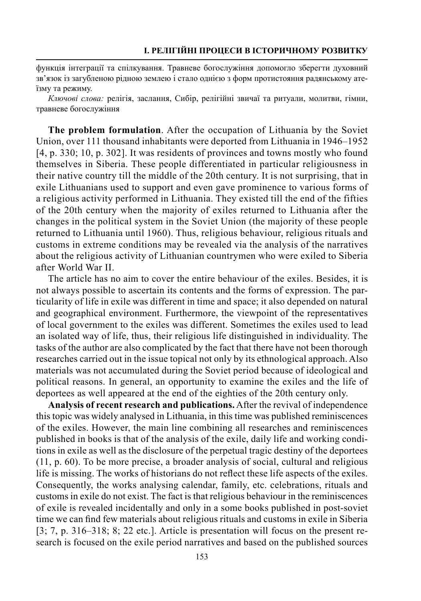функція інтеграції та спілкування. Травневе богослужіння допомогло зберегти духовний зв'язок із загубленою рідною землею і стало однією з форм протистояння радянському атеїзму та режиму.

*Ключові слова:* релігія, заслання, Сибір, релігійні звичаї та ритуали, молитви, гімни, травневе богослужіння

**The problem formulation**. After the occupation of Lithuania by the Soviet Union, over 111 thousand inhabitants were deported from Lithuania in 1946–1952 [4, p. 330; 10, p. 302]. It was residents of provinces and towns mostly who found themselves in Siberia. These people differentiated in particular religiousness in their native country till the middle of the 20th century. It is not surprising, that in exile Lithuanians used to support and even gave prominence to various forms of a religious activity performed in Lithuania. They existed till the end of the fifties of the 20th century when the majority of exiles returned to Lithuania after the changes in the political system in the Soviet Union (the majority of these people returned to Lithuania until 1960). Thus, religious behaviour, religious rituals and customs in extreme conditions may be revealed via the analysis of the narratives about the religious activity of Lithuanian countrymen who were exiled to Siberia after World War II.

The article has no aim to cover the entire behaviour of the exiles. Besides, it is not always possible to ascertain its contents and the forms of expression. The particularity of life in exile was different in time and space; it also depended on natural and geographical environment. Furthermore, the viewpoint of the representatives of local government to the exiles was different. Sometimes the exiles used to lead an isolated way of life, thus, their religious life distinguished in individuality. The tasks of the author are also complicated by the fact that there have not been thorough researches carried out in the issue topical not only by its ethnological approach. Also materials was not accumulated during the Soviet period because of ideological and political reasons. In general, an opportunity to examine the exiles and the life of deportees as well appeared at the end of the eighties of the 20th century only.

**Analysis of recent research and publications.** After the revival of independence this topic was widely analysed in Lithuania, in this time was published reminiscences of the exiles. However, the main line combining all researches and reminiscences published in books is that of the analysis of the exile, daily life and working conditions in exile as well as the disclosure of the perpetual tragic destiny of the deportees (11, p. 60). To be more precise, a broader analysis of social, cultural and religious life is missing. The works of historians do not reflect these life aspects of the exiles. Consequently, the works analysing calendar, family, etc. celebrations, rituals and customs in exile do not exist. The fact is that religious behaviour in the reminiscences of exile is revealed incidentally and only in a some books published in post-soviet time we can find few materials about religious rituals and customs in exile in Siberia [3; 7, p. 316–318; 8; 22 etc.]. Article is presentation will focus on the present research is focused on the exile period narratives and based on the published sources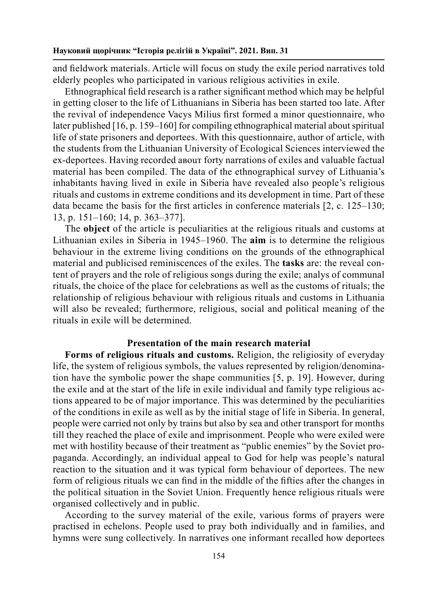and fieldwork materials. Article will focus on study the exile period narratives told elderly peoples who participated in various religious activities in exile.

Ethnographical field research is a rather significant method which may be helpful in getting closer to the life of Lithuanians in Siberia has been started too late. After the revival of independence Vacys Milius first formed a minor questionnaire, who later published [16, p. 159–160] for compiling ethnographical material about spiritual life of state prisoners and deportees. With this questionnaire, author of article, with the students from the Lithuanian University of Ecological Sciences interviewed the ex-deportees. Having recorded авоuт forty narrations of exiles and valuable factual material has been compiled. The data of the ethnographical survey of Lithuania's inhabitants having lived in exile in Siberia have revealed also people's religious rituals and customs in extreme conditions and its development in time. Part of these data became the basis for the first articles in conference materials [2, c. 125–130; 13, p. 151–160; 14, p. 363–377].

The **object** of the article is peculiarities at the religious rituals and customs at Lithuanian exiles in Siberia in 1945–1960. The **aim** is to determine the religious behaviour in the extreme living conditions on the grounds of the ethnographical material and publicised reminiscences of the exiles. The **tasks** are: the reveal content оf prayers and the role of religious songs during the exile; analys of communal rituals, the choice of the place for celebrations as well as the customs of rituals; the relationship of religious behaviour with religious rituals and customs in Lithuania will also be revealed; furthermore, religious, social and political meaning of the rituals in exile will be determined.

## **Presentation of the main research material**

**Forms of religious rituals and customs.** Religion, the religiosity of everyday life, the system of religious symbols, the values represented by religion/denomination have the symbolic power the shape communities [5, p. 19]. However, during the exile and at the start of the life in exile individual and family type religious actions appeared to be of major importance. This was determined by the peculiarities of the conditions in exile as well as by the initial stage of life in Siberia. In general, people were carried not only by trains but also by sea and other transport for months till they reached the place of exile and imprisonment. People who were exiled were met with hostility because of their treatment as "public enemies" by the Soviet propaganda. Accordingly, an individual appeal to God for help was people's natural reaction to the situation and it was typical form behaviour of deportees. The new form of religious rituals we can find in the middle of the fifties after the changes in the political situation in the Soviet Union. Frequently hence religious rituals were organised collectively and in public.

According to the survey material of the exile, various forms of prayers were practised in echelons. People used to pray both individually and in families, and hymns were sung collectively. In narratives one informant recalled how deportees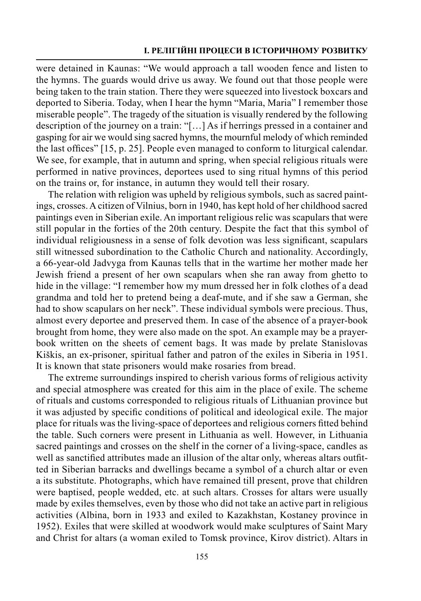## **І. Релігійні процеси в історичному розвитку**

were detained in Kaunas: "We would approach a tall wooden fence and listen to the hymns. The guards would drive us away. We found out that those people were being taken to the train station. There they were squeezed into livestock boxcars and deported to Siberia. Today, when I hear the hymn "Maria, Maria" I remember those miserable people". The tragedy of the situation is visually rendered by the following description of the journey on a train: "[…] As if herrings pressed in a container and gasping for air we would sing sacred hymns, the mournful melody of which reminded the last offices" [15, p. 25]. People even managed to conform to liturgical calendar. We see, for example, that in autumn and spring, when special religious rituals were performed in native provinces, deportees used to sing ritual hymns of this period on the trains or, for instance, in autumn they would tell their rosary.

The relation with religion was upheld by religious symbols, such as sacred paintings, crosses. A citizen of Vilnius, born in 1940, has kept hold of her childhood sacred paintings even in Siberian exile. An important religious relic was scapulars that were still popular in the forties of the 20th century. Despite the fact that this symbol of individual religiousness in a sense of folk devotion was less significant, scapulars still witnessed subordination to the Catholic Church and nationality. Accordingly, a 66-year-old Jadvyga from Kaunas tells that in the wartime her mother made her Jewish friend a present of her own scapulars when she ran away from ghetto to hide in the village: "I remember how my mum dressed her in folk clothes of a dead grandma and told her to pretend being a deaf-mute, and if she saw a German, she had to show scapulars on her neck". These individual symbols were precious. Thus, almost every deportee and preserved them. In case of the absence of a prayer-book brought from home, they were also made on the spot. An example may be a prayerbook written on the sheets of cement bags. It was made by prelate Stanislovas Kiškis, an ex-prisoner, spiritual father and patron of the exiles in Siberia in 1951. It is known that state prisoners would make rosaries from bread.

The extreme surroundings inspired to cherish various forms of religious activity and special atmosphere was created for this aim in the place of exile. The scheme of rituals and customs corresponded to religious rituals of Lithuanian province but it was adjusted by specific conditions of political and ideological exile. The major place for rituals was the living-space of deportees and religious corners fitted behind the table. Such corners were present in Lithuania as well. However, in Lithuania sacred paintings and crosses on the shelf in the corner of a living-space, candles as well as sanctified attributes made an illusion of the altar only, whereas altars outfitted in Siberian barracks and dwellings became a symbol of a church altar or even a its substitute. Photographs, which have remained till present, prove that children were baptised, people wedded, etc. at such altars. Crosses for altars were usually made by exiles themselves, even by those who did not take an active part in religious activities (Albina, born in 1933 and exiled to Kazakhstan, Kostaney province in 1952). Exiles that were skilled at woodwork would make sculptures of Saint Mary and Christ for altars (a woman exiled to Tomsk province, Kirov district). Altars in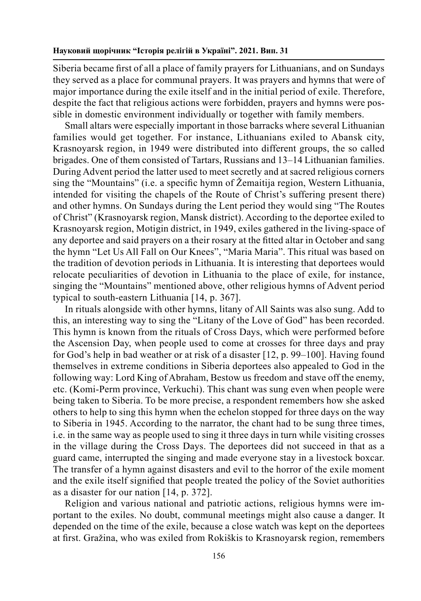Siberia became first of all a place of family prayers for Lithuanians, and on Sundays they served as a place for communal prayers. It was prayers and hymns that were of major importance during the exile itself and in the initial period of exile. Therefore, despite the fact that religious actions were forbidden, prayers and hymns were possible in domestic environment individually or together with family members.

Small altars were especially important in those barracks where several Lithuanian families would get together. For instance, Lithuanians exiled to Abansk city, Krasnoyarsk region, in 1949 were distributed into different groups, the so called brigades. One of them consisted of Tartars, Russians and 13–14 Lithuanian families. During Advent period the latter used to meet secretly and at sacred religious corners sing the "Mountains" (i.e. a specific hymn of Žemaitija region, Western Lithuania, intended for visiting the chapels of the Route of Christ's suffering present there) and other hymns. On Sundays during the Lent period they would sing "The Routes of Christ" (Krasnoyarsk region, Mansk district). According to the deportee exiled to Krasnoyarsk region, Motigin district, in 1949, exiles gathered in the living-space of any deportee and said prayers on a their rosary at the fitted altar in October and sang the hymn "Let Us All Fall on Our Knees", "Maria Maria". This ritual was based on the tradition of devotion periods in Lithuania. It is interesting that deportees would relocate peculiarities of devotion in Lithuania to the place of exile, for instance, singing the "Mountains" mentioned above, other religious hymns of Advent period typical to south-eastern Lithuania [14, p. 367].

In rituals alongside with other hymns, litany of All Saints was also sung. Add to this, an interesting way to sing the "Litany of the Love of God" has been recorded. This hymn is known from the rituals of Cross Days, which were performed before the Ascension Day, when people used to come at crosses for three days and pray for God's help in bad weather or at risk of a disaster [12, p. 99–100]. Having found themselves in extreme conditions in Siberia deportees also appealed to God in the following way: Lord King of Abraham, Bestow us freedom and stave off the enemy, etc. (Komi-Perm province, Verkuchi). This chant was sung even when people were being taken to Siberia. To be more precise, a respondent remembers how she asked others to help to sing this hymn when the echelon stopped for three days on the way to Siberia in 1945. According to the narrator, the chant had to be sung three times, i.e. in the same way as people used to sing it three days in turn while visiting crosses in the village during the Cross Days. The deportees did not succeed in that as a guard came, interrupted the singing and made everyone stay in a livestock boxcar. The transfer of a hymn against disasters and evil to the horror of the exile moment and the exile itself signified that people treated the policy of the Soviet authorities as a disaster for our nation [14, p. 372].

Religion and various national and patriotic actions, religious hymns were important to the exiles. No doubt, communal meetings might also cause a danger. It depended on the time of the exile, because a close watch was kept on the deportees at first. Gražina, who was exiled from Rokiškis to Krasnoyarsk region, remembers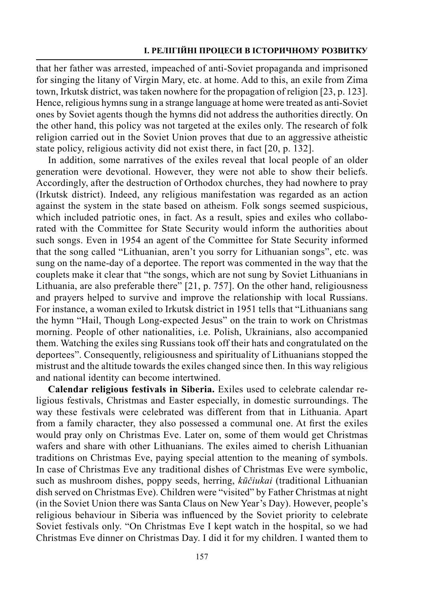that her father was arrested, impeached of anti-Soviet propaganda and imprisoned for singing the litany of Virgin Mary, etc. at home. Add to this, an exile from Zima town, Irkutsk district, was taken nowhere for the propagation of religion [23, p. 123]. Hence, religious hymns sung in a strange language at home were treated as anti-Soviet ones by Soviet agents though the hymns did not address the authorities directly. On the other hand, this policy was not targeted at the exiles only. The research of folk religion carried out in the Soviet Union proves that due to an aggressive atheistic state policy, religious activity did not exist there, in fact [20, p. 132].

In addition, some narratives of the exiles reveal that local people of an older generation were devotional. However, they were not able to show their beliefs. Accordingly, after the destruction of Orthodox churches, they had nowhere to pray (Irkutsk district). Indeed, any religious manifestation was regarded as an action against the system in the state based on atheism. Folk songs seemed suspicious, which included patriotic ones, in fact. As a result, spies and exiles who collaborated with the Committee for State Security would inform the authorities about such songs. Even in 1954 an agent of the Committee for State Security informed that the song called "Lithuanian, aren't you sorry for Lithuanian songs", etc. was sung on the name-day of a deportee. The report was commented in the way that the couplets make it clear that "the songs, which are not sung by Soviet Lithuanians in Lithuania, are also preferable there" [21, p. 757]. On the other hand, religiousness and prayers helped to survive and improve the relationship with local Russians. For instance, a woman exiled to Irkutsk district in 1951 tells that "Lithuanians sang the hymn "Hail, Though Long-expected Jesus" on the train to work on Christmas morning. People of other nationalities, i.e. Polish, Ukrainians, also accompanied them. Watching the exiles sing Russians took off their hats and congratulated on the deportees". Consequently, religiousness and spirituality of Lithuanians stopped the mistrust and the altitude towards the exiles changed since then. In this way religious and national identity can become intertwined.

**Calendar religious festivals in Siberia.** Exiles used to celebrate calendar religious festivals, Christmas and Easter especially, in domestic surroundings. The way these festivals were celebrated was different from that in Lithuania. Apart from a family character, they also possessed a communal one. At first the exiles would pray only on Christmas Eve. Later on, some of them would get Christmas wafers and share with other Lithuanians. The exiles aimed to cherish Lithuanian traditions on Christmas Eve, paying special attention to the meaning of symbols. In case of Christmas Eve any traditional dishes of Christmas Eve were symbolic, such as mushroom dishes, poppy seeds, herring, *kūčiukai* (traditional Lithuanian dish served on Christmas Eve). Children were "visited" by Father Christmas at night (in the Soviet Union there was Santa Claus on New Year's Day). However, people's religious behaviour in Siberia was influenced by the Soviet priority to celebrate Soviet festivals only. "On Christmas Eve I kept watch in the hospital, so we had Christmas Eve dinner on Christmas Day. I did it for my children. I wanted them to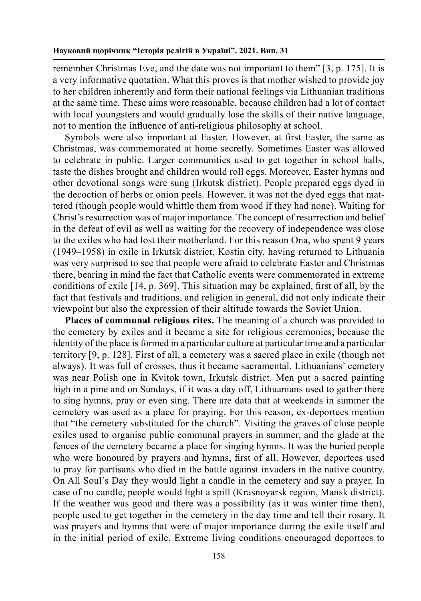remember Christmas Eve, and the date was not important to them" [3, p. 175]. It is a very informative quotation. What this proves is that mother wished to provide joy to her children inherently and form their national feelings via Lithuanian traditions at the same time. These aims were reasonable, because children had a lot of contact with local youngsters and would gradually lose the skills of their native language, not to mention the influence of anti-religious philosophy at school.

Symbols were also important at Easter. However, at first Easter, the same as Christmas, was commemorated at home secretly. Sometimes Easter was allowed to celebrate in public. Larger communities used to get together in school halls, taste the dishes brought and children would roll eggs. Moreover, Easter hymns and other devotional songs were sung (Irkutsk district). People prepared eggs dyed in the decoction of herbs or onion peels. However, it was not the dyed eggs that mattered (though people would whittle them from wood if they had none). Waiting for Christ's resurrection was of major importance. The concept of resurrection and belief in the defeat of evil as well as waiting for the recovery of independence was close to the exiles who had lost their motherland. For this reason Ona, who spent 9 years (1949–1958) in exile in Irkutsk district, Kostin city, having returned to Lithuania was very surprised to see that people were afraid to celebrate Easter and Christmas there, bearing in mind the fact that Catholic events were commemorated in extreme conditions of exile [14, p. 369]. This situation may be explained, first of all, by the fact that festivals and traditions, and religion in general, did not only indicate their viewpoint but also the expression of their altitude towards the Soviet Union.

**Places of communal religious rites.** The meaning of a church was provided to the cemetery by exiles and it became a site for religious ceremonies, because the identity of the place is formed in a particular culture at particular time and a particular territory [9, p. 128]. First of all, a cemetery was a sacred place in exile (though not always). It was full of crosses, thus it became sacramental. Lithuanians' cemetery was near Polish one in Kvitok town, Irkutsk district. Men put a sacred painting high in a pine and on Sundays, if it was a day off, Lithuanians used to gather there to sing hymns, pray or even sing. There are data that at weekends in summer the cemetery was used as a place for praying. For this reason, ex-deportees mention that "the cemetery substituted for the church". Visiting the graves of close people exiles used to organise public communal prayers in summer, and the glade at the fences of the cemetery became a place for singing hymns. It was the buried people who were honoured by prayers and hymns, first of all. However, deportees used to pray for partisans who died in the battle against invaders in the native country. On All Soul's Day they would light a candle in the cemetery and say a prayer. In case of no candle, people would light a spill (Krasnoyarsk region, Mansk district). If the weather was good and there was a possibility (as it was winter time then), people used to get together in the cemetery in the day time and tell their rosary. It was prayers and hymns that were of major importance during the exile itself and in the initial period of exile. Extreme living conditions encouraged deportees to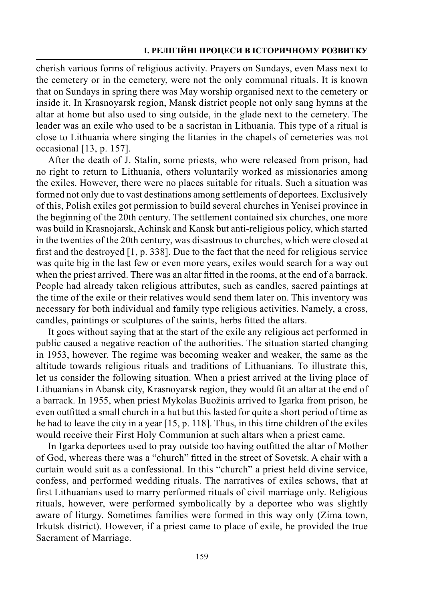cherish various forms of religious activity. Prayers on Sundays, even Mass next to the cemetery or in the cemetery, were not the only communal rituals. It is known that on Sundays in spring there was May worship organised next to the cemetery or inside it. In Krasnoyarsk region, Mansk district people not only sang hymns at the altar at home but also used to sing outside, in the glade next to the cemetery. The leader was an exile who used to be a sacristan in Lithuania. This type of a ritual is close to Lithuania where singing the litanies in the chapels of cemeteries was not occasional [13, p. 157].

After the death of J. Stalin, some priests, who were released from prison, had no right to return to Lithuania, others voluntarily worked as missionaries among the exiles. However, there were no places suitable for rituals. Such a situation was formed not only due to vast destinations among settlements of deportees. Exclusively of this, Polish exiles got permission to build several churches in Yenisei province in the beginning of the 20th century. The settlement contained six churches, one more was build in Krasnojarsk, Achinsk and Kansk but anti-religious policy, which started in the twenties of the 20th century, was disastrous to churches, which were closed at first and the destroyed [1, p. 338]. Due to the fact that the need for religious service was quite big in the last few or even more years, exiles would search for a way out when the priest arrived. There was an altar fitted in the rooms, at the end of a barrack. People had already taken religious attributes, such as candles, sacred paintings at the time of the exile or their relatives would send them later on. This inventory was necessary for both individual and family type religious activities. Namely, a cross, candles, paintings or sculptures of the saints, herbs fitted the altars.

It goes without saying that at the start of the exile any religious act performed in public caused a negative reaction of the authorities. The situation started changing in 1953, however. The regime was becoming weaker and weaker, the same as the altitude towards religious rituals and traditions of Lithuanians. To illustrate this, let us consider the following situation. When a priest arrived at the living place of Lithuanians in Abansk city, Krasnoyarsk region, they would fit an altar at the end of a barrack. In 1955, when priest Mykolas Buožinis arrived to Igarka from prison, he even outfitted a small church in a hut but this lasted for quite a short period of time as he had to leave the city in a year [15, p. 118]. Thus, in this time children of the exiles would receive their First Holy Communion at such altars when a priest came.

In Igarka deportees used to pray outside too having outfitted the altar of Mother of God, whereas there was a "church" fitted in the street of Sovetsk. A chair with a curtain would suit as a confessional. In this "church" a priest held divine service, confess, and performed wedding rituals. The narratives of exiles schows, that at first Lithuanians used to marry performed rituals of civil marriage only. Religious rituals, however, were performed symbolically by a deportee who was slightly aware of liturgy. Sometimes families were formed in this way only (Zima town, Irkutsk district). However, if a priest came to place of exile, he provided the true Sacrament of Marriage.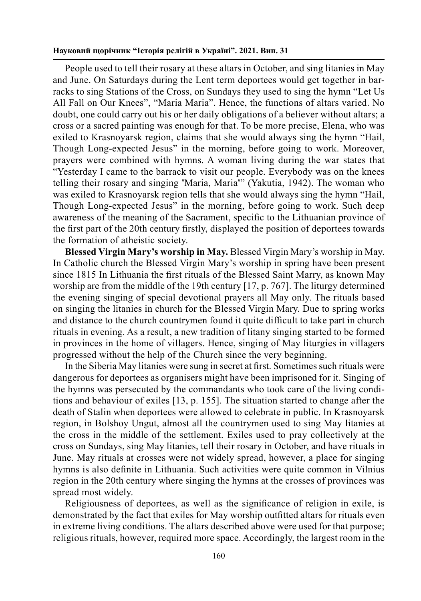People used to tell their rosary at these altars in October, and sing litanies in May and June. On Saturdays during the Lent term deportees would get together in barracks to sing Stations of the Cross, on Sundays they used to sing the hymn "Let Us All Fall on Our Knees", "Maria Maria". Hence, the functions of altars varied. No doubt, one could carry out his or her daily obligations of a believer without altars; a cross or a sacred painting was enough for that. To be more precise, Elena, who was exiled to Krasnoyarsk region, claims that she would always sing the hymn "Hail, Though Long-expected Jesus" in the morning, before going to work. Moreover, prayers were combined with hymns. A woman living during the war states that "Yesterday I came to the barrack to visit our people. Everybody was on the knees telling their rosary and singing "Maria, Maria"" (Yakutia, 1942). The woman who was exiled to Krasnoyarsk region tells that she would always sing the hymn "Hail, Though Long-expected Jesus" in the morning, before going to work. Such deep awareness of the meaning of the Sacrament, specific to the Lithuanian province of the first part of the 20th century firstly, displayed the position of deportees towards the formation of atheistic society.

**Blessed Virgin Mary's worship in May.** Blessed Virgin Mary's worship in May. In Catholic church the Blessed Virgin Mary's worship in spring have been present since 1815 In Lithuania the first rituals of the Blessed Saint Marry, as known May worship are from the middle of the 19th century [17, p. 767]. The liturgy determined the evening singing of special devotional prayers all May only. The rituals based on singing the litanies in church for the Blessed Virgin Mary. Due to spring works and distance to the church countrymen found it quite difficult to take part in church rituals in evening. As a result, a new tradition of litany singing started to be formed in provinces in the home of villagers. Hence, singing of May liturgies in villagers progressed without the help of the Church since the very beginning.

In the Siberia May litanies were sung in secret at first. Sometimes such rituals were dangerous for deportees as organisers might have been imprisoned for it. Singing of the hymns was persecuted by the commandants who took care of the living conditions and behaviour of exiles [13, p. 155]. The situation started to change after the death of Stalin when deportees were allowed to celebrate in public. In Krasnoyarsk region, in Bolshoy Ungut, almost all the countrymen used to sing May litanies at the cross in the middle of the settlement. Exiles used to pray collectively at the cross on Sundays, sing May litanies, tell their rosary in October, and have rituals in June. May rituals at crosses were not widely spread, however, a place for singing hymns is also definite in Lithuania. Such activities were quite common in Vilnius region in the 20th century where singing the hymns at the crosses of provinces was spread most widely.

Religiousness of deportees, as well as the significance of religion in exile, is demonstrated by the fact that exiles for May worship outfitted altars for rituals even in extreme living conditions. The altars described above were used for that purpose; religious rituals, however, required more space. Accordingly, the largest room in the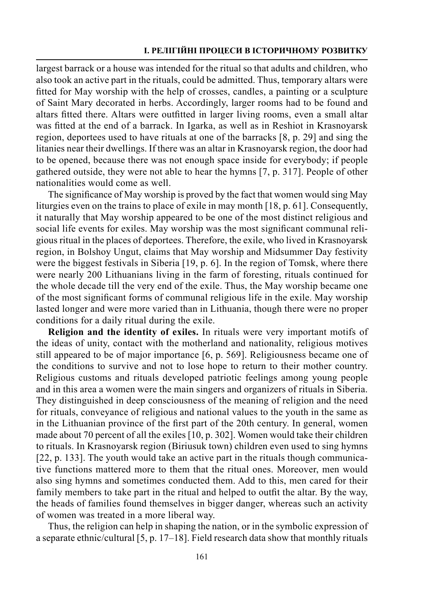### **І. Релігійні процеси в історичному розвитку**

largest barrack or a house was intended for the ritual so that adults and children, who also took an active part in the rituals, could be admitted. Thus, temporary altars were fitted for May worship with the help of crosses, candles, a painting or a sculpture of Saint Mary decorated in herbs. Accordingly, larger rooms had to be found and altars fitted there. Altars were outfitted in larger living rooms, even a small altar was fitted at the end of a barrack. In Igarka, as well as in Reshiot in Krasnoyarsk region, deportees used to have rituals at one of the barracks [8, p. 29] and sing the litanies near their dwellings. If there was an altar in Krasnoyarsk region, the door had to be opened, because there was not enough space inside for everybody; if people gathered outside, they were not able to hear the hymns [7, p. 317]. People of other nationalities would come as well.

The significance of May worship is proved by the fact that women would sing May liturgies even on the trains to place of exile in may month [18, p. 61]. Consequently, it naturally that May worship appeared to be one of the most distinct religious and social life events for exiles. May worship was the most significant communal religious ritual in the places of deportees. Therefore, the exile, who lived in Krasnoyarsk region, in Bolshoy Ungut, claims that May worship and Midsummer Day festivity were the biggest festivals in Siberia [19, p. 6]. In the region of Tomsk, where there were nearly 200 Lithuanians living in the farm of foresting, rituals continued for the whole decade till the very end of the exile. Thus, the May worship became one of the most significant forms of communal religious life in the exile. May worship lasted longer and were more varied than in Lithuania, though there were no proper conditions for a daily ritual during the exile.

**Religion and the identity of exiles.** In rituals were very important motifs of the ideas of unity, contact with the motherland and nationality, religious motives still appeared to be of major importance [6, p. 569]. Religiousness became one of the conditions to survive and not to lose hope to return to their mother country. Religious customs and rituals developed patriotic feelings among young people and in this area a women were the main singers and organizers of rituals in Siberia. They distinguished in deep consciousness of the meaning of religion and the need for rituals, conveyance of religious and national values to the youth in the same as in the Lithuanian province of the first part of the 20th century. In general, women made about 70 percent of all the exiles [10, p. 302]. Women would take their children to rituals. In Krasnoyarsk region (Biriusuk town) children even used to sing hymns [22, p. 133]. The youth would take an active part in the rituals though communicative functions mattered more to them that the ritual ones. Moreover, men would also sing hymns and sometimes conducted them. Add to this, men cared for their family members to take part in the ritual and helped to outfit the altar. By the way, the heads of families found themselves in bigger danger, whereas such an activity of women was treated in a more liberal way.

Thus, the religion can help in shaping the nation, or in the symbolic expression of a separate ethnic/cultural [5, p. 17–18]. Field research data show that monthly rituals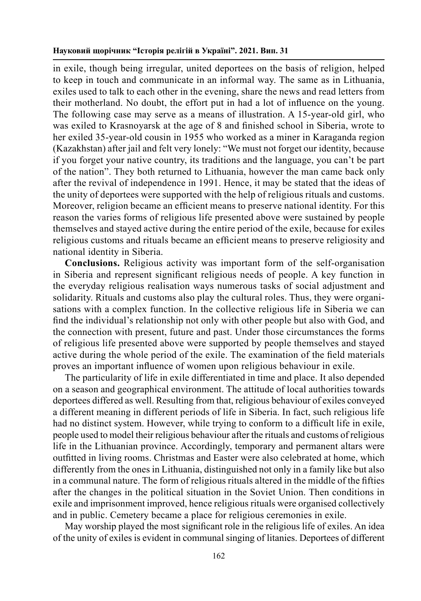in exile, though being irregular, united deportees on the basis of religion, helped to keep in touch and communicate in an informal way. The same as in Lithuania, exiles used to talk to each other in the evening, share the news and read letters from their motherland. No doubt, the effort put in had a lot of influence on the young. The following case may serve as a means of illustration. A 15-year-old girl, who was exiled to Krasnoyarsk at the age of 8 and finished school in Siberia, wrote to her exiled 35-year-old cousin in 1955 who worked as a miner in Karaganda region (Kazakhstan) after jail and felt very lonely: "We must not forget our identity, because if you forget your native country, its traditions and the language, you can't be part of the nation". They both returned to Lithuania, however the man came back only after the revival of independence in 1991. Hence, it may be stated that the ideas of the unity of deportees were supported with the help of religious rituals and customs. Moreover, religion became an efficient means to preserve national identity. For this reason the varies forms of religious life presented above were sustained by people themselves and stayed active during the entire period of the exile, because for exiles religious customs and rituals became an efficient means to preserve religiosity and national identity in Siberia.

**Conclusions.** Religious activity was important form of the self-organisation in Siberia and represent significant religious needs of people. A key function in the everyday religious realisation ways numerous tasks of social adjustment and solidarity. Rituals and customs also play the cultural roles. Thus, they were organisations with a complex function. In the collective religious life in Siberia we can find the individual's relationship not only with other people but also with God, and the connection with present, future and past. Under those circumstances the forms of religious life presented above were supported by people themselves and stayed active during the whole period of the exile. The examination of the field materials proves an important influence of women upon religious behaviour in exile.

The particularity of life in exile differentiated in time and place. It also depended on a season and geographical environment. The attitude of local authorities towards deportees differed as well. Resulting from that, religious behaviour of exiles conveyed a different meaning in different periods of life in Siberia. In fact, such religious life had no distinct system. However, while trying to conform to a difficult life in exile, people used to model their religious behaviour after the rituals and customs of religious life in the Lithuanian province. Accordingly, temporary and permanent altars were outfitted in living rooms. Christmas and Easter were also celebrated at home, which differently from the ones in Lithuania, distinguished not only in a family like but also in a communal nature. The form of religious rituals altered in the middle of the fifties after the changes in the political situation in the Soviet Union. Then conditions in exile and imprisonment improved, hence religious rituals were organised collectively and in public. Cemetery became a place for religious ceremonies in exile.

May worship played the most significant role in the religious life of exiles. An idea of the unity of exiles is evident in communal singing of litanies. Deportees of different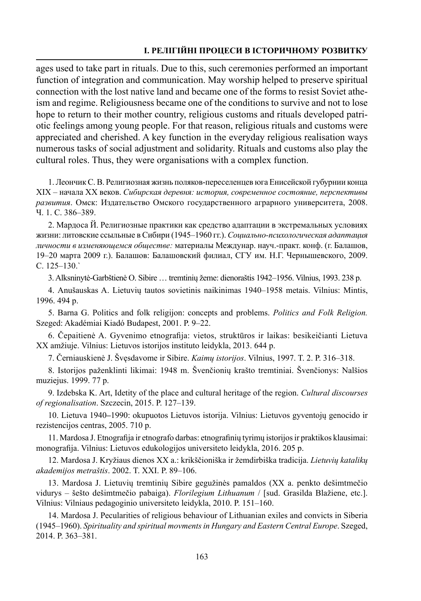## **І. Релігійні процеси в історичному розвитку**

ages used to take part in rituals. Due to this, such ceremonies performed an important function of integration and communication. May worship helped to preserve spiritual connection with the lost native land and became one of the forms to resist Soviet atheism and regime. Religiousness became one of the conditions to survive and not to lose hope to return to their mother country, religious customs and rituals developed patriotic feelings among young people. For that reason, religious rituals and customs were appreciated and cherished. A key function in the everyday religious realisation ways numerous tasks of social adjustment and solidarity. Rituals and customs also play the cultural roles. Thus, they were organisations with a complex function.

1. Леончик С. В. Религиозная жизнь поляков-переселенцев юга Енисейской губурнии конца ХIХ – начала ХХ веков. *Сибирская деревня: история, современное состояние, перспективы развития*. Омск: Издательство Омского государственного аграрного университета, 2008. Ч. 1. C. 386–389.

2. Мaрдоса Й. Религиозные практики как средство адаптации в экстремальных условиях жизни: литовские ссыльные в Сибири (1945–1960 гг.). *Социально-психологическая адаптация личности в изменяющемся обществе:* материалы Междунар. науч.-практ. конф. (г. Балашов, 19–20 марта 2009 г.). Балашов: Балашовский филиал, СГУ им. Н.Г. Чернышевского, 2009. C. 125–130.`

3. Alksninytė-Garbštienė O. Sibire … tremtinių žeme: dienoraštis 1942–1956. Vilnius, 1993. 238 p.

4. Аnušauskas A. Lietuvių tautos sovietinis naikinimas 1940–1958 metais. Vilnius: Mintis, 1996. 494 p.

5. Barna G. Politics and folk religijon: concepts and problems. *Politics and Folk Religion.*  Szeged: Akadémiai Kiadó Budapest, 2001. P. 9–22.

6. Čepaitienė A. Gyvenimo etnografija: vietos, struktūros ir laikas: besikeičianti Lietuva XX amžiuje. Vilnius: Lietuvos istorijos instituto leidykla, 2013. 644 p.

7. Černiauskienė J. Švęsdavome ir Sibire. *Kaimų istorijos*. Vilnius, 1997. T. 2. P. 316–318.

8. Istorijos paženklinti likimai: 1948 m. Švenčionių krašto tremtiniai. Švenčionys: Nalšios muziejus. 1999. 77 p.

9. Izdebska K. Art, Idetity of the place and cultural heritage of the region. *Cultural discourses of regionalisation*. Szczecin, 2015. P. 127–139.

10. Lietuva 1940**–**1990: okupuotos Lietuvos istorija. Vilnius: Lietuvos gyventojų genocido ir rezistencijos centras, 2005. 710 p.

11. Mardosa J. Etnografija ir etnografo darbas: etnografinių tyrimų istorijos ir praktikos klausimai: monografija. Vilnius: Lietuvos edukologijos universiteto leidykla, 2016. 205 p.

12. Mardosa J. Kryžiaus dienos XX a.: krikščioniška ir žemdirbiška tradicija. *Lietuvių katalikų akademijos metraštis*. 2002. T. XXI. P. 89–106.

13. Mardosa J. Lietuvių tremtinių Sibire gegužinės pamaldos (XX a. penkto dešimtmečio vidurys – šešto dešimtmečio pabaiga). *Florilegium Lithuanum* / [sud. Grasilda Blažiene, etc.]. Vilnius: Vilniaus pedagoginio universiteto leidykla, 2010. P. 151–160.

14. Mardosa J. Pecularities of religious behaviour of Lithuanian exiles and convicts in Siberia (1945–1960). *Spirituality and spiritual movments in Hungary and Eastern Central Europe*. Szeged, 2014. P. 363–381.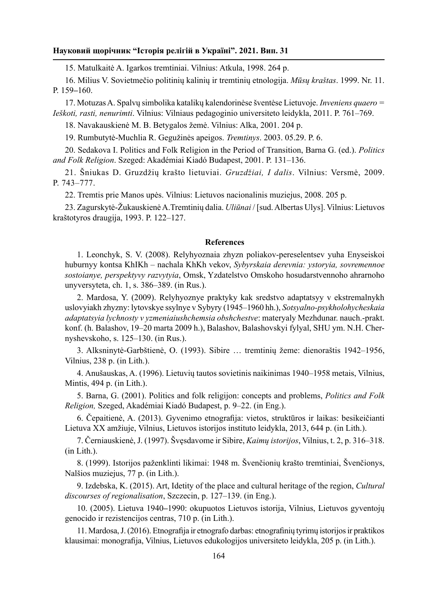15. Matulkaitė A. Igarkos tremtiniai. Vilnius: Atkula, 1998. 264 p.

16. Milius V. Sovietmečio politinių kalinių ir tremtinių etnologija. *Mūsų kraštas*. 1999. Nr. 11. P. 159**–**160.

17. Motuzas A. Spalvų simbolika katalikų kalendorinėse šventėse Lietuvoje. *Inveniens quaero = Ieškoti, rasti, nenurimti*. Vilnius: Vilniaus pedagoginio universiteto leidykla, 2011. P. 761–769.

18. Navakauskienė M. B. Betygalos žemė. Vilnius: Alka, 2001. 204 p.

19. Rumbutytė-Muchlia R. Gegužinės apeigos. *Tremtinys*. 2003. 05.29. P. 6.

20. Sedakova I. Politics and Folk Religion in the Period of Transition, Barna G. (ed.). *Politics and Folk Religion*. Szeged: Akadémiai Kiadó Budapest, 2001. P. 131–136.

21. Šniukas D. Gruzdžių krašto lietuviai. *Gruzdžiai, I dalis*. Vilnius: Versmė, 2009. P. 743–777.

22. Tremtis prie Manos upės. Vilnius: Lietuvos nacionalinis muziejus, 2008. 205 p.

23. Zagurskytė-Žukauskienė A.Tremtinių dalia. *Uliūnai* / [sud. Albertas Ulys]. Vilnius: Lietuvos kraštotyros draugija, 1993. P. 122–127.

#### **References**

1. Leonchyk, S. V. (2008). Relyhyoznaia zhyzn poliakov-pereselentsev yuha Enyseiskoi huburnyy kontsa KhIKh – nachala KhKh vekov, *Sybyrskaia derevnia: ystoryia, sovremennoe sostoianye, perspektyvy razvytyia*, Omsk, Yzdatelstvo Omskoho hosudarstvennoho ahrarnoho unyversyteta, сh. 1, s. 386–389. (in Rus.).

2. Mardosa, Y. (2009). Relyhyoznye praktyky kak sredstvo adaptatsyy v ekstremalnykh uslovyiakh zhyzny: lytovskye ssylnye v Sybyry (1945–1960 hh.), *Sotsyalno-psykholohycheskaia adaptatsyia lychnosty v yzmeniaiushchemsia obshchestve*: materyaly Mezhdunar. nauch.-prakt. konf. (h. Balashov, 19–20 marta 2009 h.), Balashov, Balashovskyi fylyal, SHU ym. N.H. Chernyshevskoho, s. 125–130. (in Rus.).

3. Alksninytė-Garbštienė, O. (1993). Sibire … tremtinių žeme: dienoraštis 1942–1956, Vilnius, 238 p. (in Lith.).

4. Аnušauskas, A. (1996). Lietuvių tautos sovietinis naikinimas 1940–1958 metais, Vilnius, Mintis, 494 p. (in Lith.).

5. Barna, G. (2001). Politics and folk religijon: concepts and problems, *Politics and Folk Religion,* Szeged, Akadémiai Kiadó Budapest, p. 9–22. (in Eng.).

6. Čepaitienė, A. (2013). Gyvenimo etnografija: vietos, struktūros ir laikas: besikeičianti Lietuva XX amžiuje, Vilnius, Lietuvos istorijos instituto leidykla, 2013, 644 p. (in Lith.).

7. Černiauskienė, J. (1997). Švęsdavome ir Sibire, *Kaimų istorijos*, Vilnius, t. 2, p. 316–318. (in Lith.).

8. (1999). Istorijos paženklinti likimai: 1948 m. Švenčionių krašto tremtiniai, Švenčionys, Nalšios muziejus, 77 p. (in Lith.).

9. Izdebska, K. (2015). Art, Idetity of the place and cultural heritage of the region, *Cultural discourses of regionalisation*, Szczecin, p. 127–139. (in Eng.).

10. (2005). Lietuva 1940**–**1990: okupuotos Lietuvos istorija, Vilnius, Lietuvos gyventojų genocido ir rezistencijos centras, 710 p. (in Lith.).

11. Mardosa, J. (2016). Etnografija ir etnografo darbas: etnografinių tyrimų istorijos ir praktikos klausimai: monografija, Vilnius, Lietuvos edukologijos universiteto leidykla, 205 p. (in Lith.).